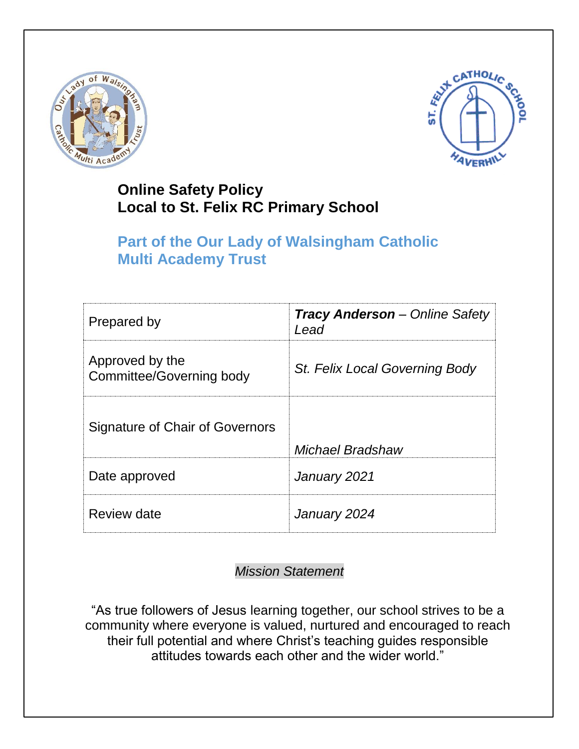



# **Online Safety Policy Local to St. Felix RC Primary School**

# **Part of the Our Lady of Walsingham Catholic Multi Academy Trust**

| Prepared by                                        | <b>Tracy Anderson</b> - Online Safety<br>Lead |
|----------------------------------------------------|-----------------------------------------------|
| Approved by the<br><b>Committee/Governing body</b> | St. Felix Local Governing Body                |
| Signature of Chair of Governors                    | Michael Bradshaw                              |
| Date approved                                      | January 2021                                  |
| Review date                                        | January 2024                                  |

## *Mission Statement*

"As true followers of Jesus learning together, our school strives to be a community where everyone is valued, nurtured and encouraged to reach their full potential and where Christ's teaching guides responsible attitudes towards each other and the wider world."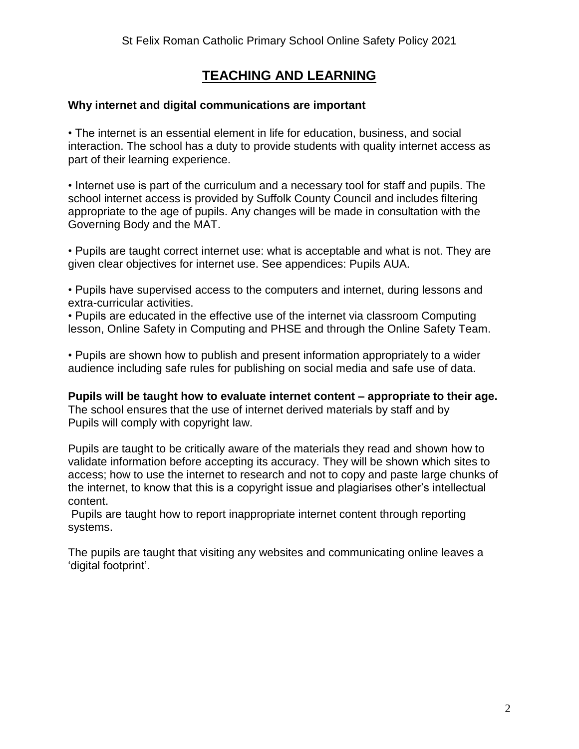## **TEACHING AND LEARNING**

#### **Why internet and digital communications are important**

• The internet is an essential element in life for education, business, and social interaction. The school has a duty to provide students with quality internet access as part of their learning experience.

• Internet use is part of the curriculum and a necessary tool for staff and pupils. The school internet access is provided by Suffolk County Council and includes filtering appropriate to the age of pupils. Any changes will be made in consultation with the Governing Body and the MAT.

• Pupils are taught correct internet use: what is acceptable and what is not. They are given clear objectives for internet use. See appendices: Pupils AUA.

• Pupils have supervised access to the computers and internet, during lessons and extra-curricular activities.

• Pupils are educated in the effective use of the internet via classroom Computing lesson, Online Safety in Computing and PHSE and through the Online Safety Team.

• Pupils are shown how to publish and present information appropriately to a wider audience including safe rules for publishing on social media and safe use of data.

**Pupils will be taught how to evaluate internet content – appropriate to their age.** The school ensures that the use of internet derived materials by staff and by Pupils will comply with copyright law.

Pupils are taught to be critically aware of the materials they read and shown how to validate information before accepting its accuracy. They will be shown which sites to access; how to use the internet to research and not to copy and paste large chunks of the internet, to know that this is a copyright issue and plagiarises other's intellectual content.

Pupils are taught how to report inappropriate internet content through reporting systems.

The pupils are taught that visiting any websites and communicating online leaves a 'digital footprint'.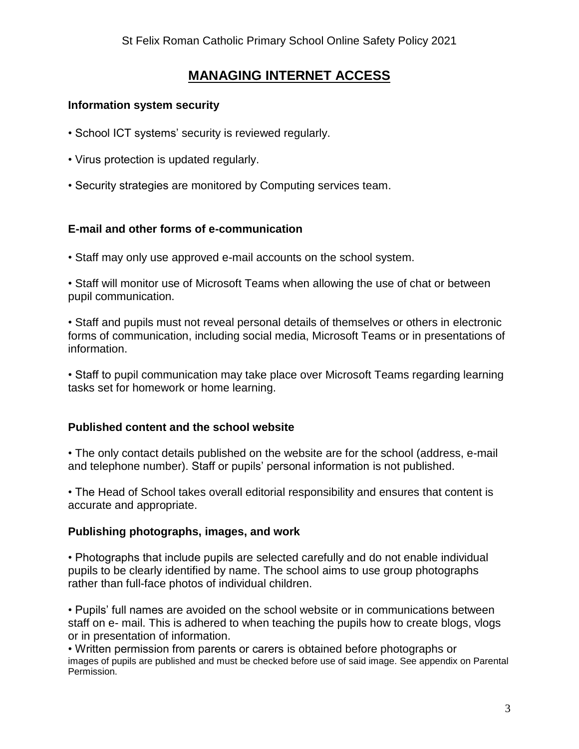## **MANAGING INTERNET ACCESS**

#### **Information system security**

- School ICT systems' security is reviewed regularly.
- Virus protection is updated regularly.
- Security strategies are monitored by Computing services team.

#### **E-mail and other forms of e-communication**

• Staff may only use approved e-mail accounts on the school system.

• Staff will monitor use of Microsoft Teams when allowing the use of chat or between pupil communication.

• Staff and pupils must not reveal personal details of themselves or others in electronic forms of communication, including social media, Microsoft Teams or in presentations of information.

• Staff to pupil communication may take place over Microsoft Teams regarding learning tasks set for homework or home learning.

### **Published content and the school website**

• The only contact details published on the website are for the school (address, e-mail and telephone number). Staff or pupils' personal information is not published.

• The Head of School takes overall editorial responsibility and ensures that content is accurate and appropriate.

#### **Publishing photographs, images, and work**

• Photographs that include pupils are selected carefully and do not enable individual pupils to be clearly identified by name. The school aims to use group photographs rather than full-face photos of individual children.

• Pupils' full names are avoided on the school website or in communications between staff on e- mail. This is adhered to when teaching the pupils how to create blogs, vlogs or in presentation of information.

• Written permission from parents or carers is obtained before photographs or images of pupils are published and must be checked before use of said image. See appendix on Parental Permission.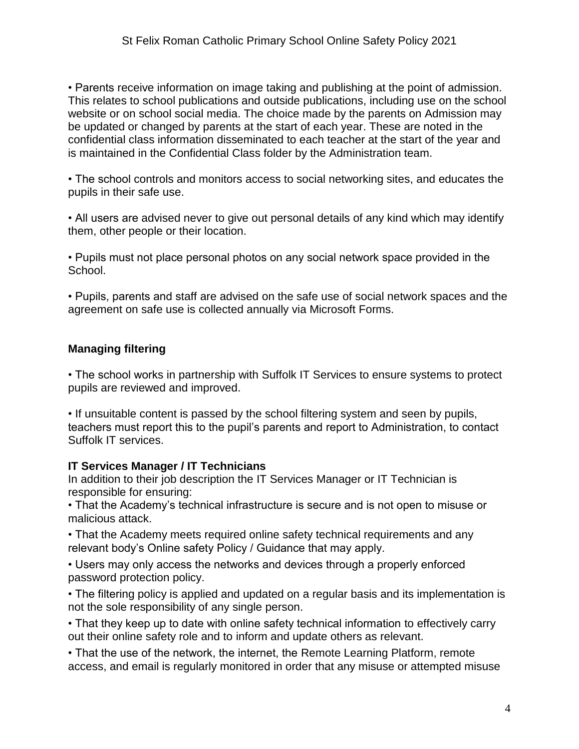• Parents receive information on image taking and publishing at the point of admission. This relates to school publications and outside publications, including use on the school website or on school social media. The choice made by the parents on Admission may be updated or changed by parents at the start of each year. These are noted in the confidential class information disseminated to each teacher at the start of the year and is maintained in the Confidential Class folder by the Administration team.

• The school controls and monitors access to social networking sites, and educates the pupils in their safe use.

• All users are advised never to give out personal details of any kind which may identify them, other people or their location.

• Pupils must not place personal photos on any social network space provided in the School.

• Pupils, parents and staff are advised on the safe use of social network spaces and the agreement on safe use is collected annually via Microsoft Forms.

### **Managing filtering**

• The school works in partnership with Suffolk IT Services to ensure systems to protect pupils are reviewed and improved.

• If unsuitable content is passed by the school filtering system and seen by pupils, teachers must report this to the pupil's parents and report to Administration, to contact Suffolk IT services.

### **IT Services Manager / IT Technicians**

In addition to their job description the IT Services Manager or IT Technician is responsible for ensuring:

• That the Academy's technical infrastructure is secure and is not open to misuse or malicious attack.

• That the Academy meets required online safety technical requirements and any relevant body's Online safety Policy / Guidance that may apply.

• Users may only access the networks and devices through a properly enforced password protection policy.

• The filtering policy is applied and updated on a regular basis and its implementation is not the sole responsibility of any single person.

• That they keep up to date with online safety technical information to effectively carry out their online safety role and to inform and update others as relevant.

• That the use of the network, the internet, the Remote Learning Platform, remote access, and email is regularly monitored in order that any misuse or attempted misuse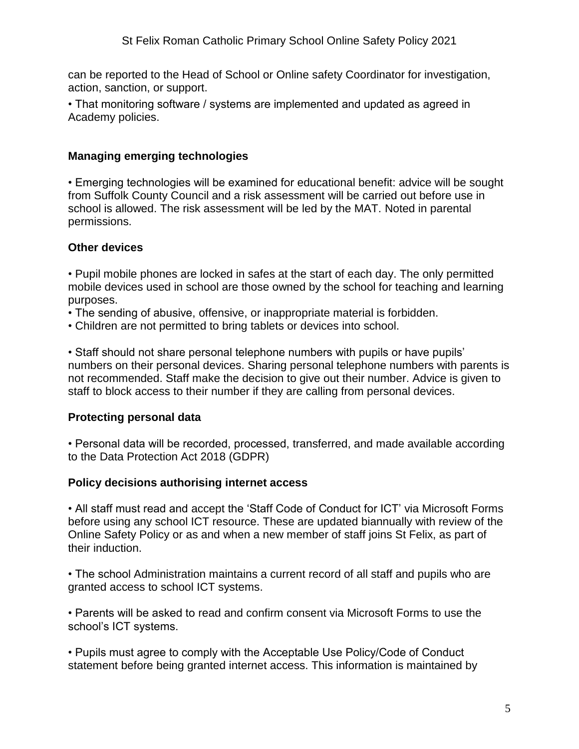can be reported to the Head of School or Online safety Coordinator for investigation, action, sanction, or support.

• That monitoring software / systems are implemented and updated as agreed in Academy policies.

### **Managing emerging technologies**

• Emerging technologies will be examined for educational benefit: advice will be sought from Suffolk County Council and a risk assessment will be carried out before use in school is allowed. The risk assessment will be led by the MAT. Noted in parental permissions.

### **Other devices**

• Pupil mobile phones are locked in safes at the start of each day. The only permitted mobile devices used in school are those owned by the school for teaching and learning purposes.

- The sending of abusive, offensive, or inappropriate material is forbidden.
- Children are not permitted to bring tablets or devices into school.

• Staff should not share personal telephone numbers with pupils or have pupils' numbers on their personal devices. Sharing personal telephone numbers with parents is not recommended. Staff make the decision to give out their number. Advice is given to staff to block access to their number if they are calling from personal devices.

## **Protecting personal data**

• Personal data will be recorded, processed, transferred, and made available according to the Data Protection Act 2018 (GDPR)

## **Policy decisions authorising internet access**

• All staff must read and accept the 'Staff Code of Conduct for ICT' via Microsoft Forms before using any school ICT resource. These are updated biannually with review of the Online Safety Policy or as and when a new member of staff joins St Felix, as part of their induction.

• The school Administration maintains a current record of all staff and pupils who are granted access to school ICT systems.

• Parents will be asked to read and confirm consent via Microsoft Forms to use the school's ICT systems.

• Pupils must agree to comply with the Acceptable Use Policy/Code of Conduct statement before being granted internet access. This information is maintained by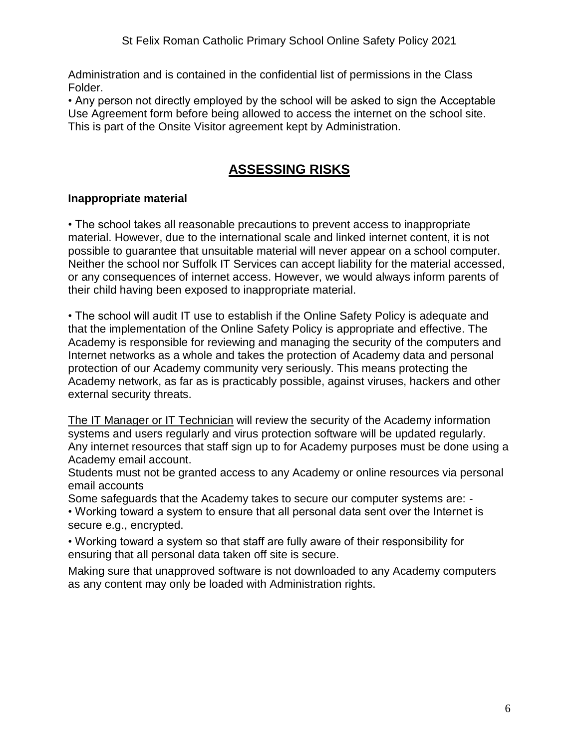Administration and is contained in the confidential list of permissions in the Class Folder.

• Any person not directly employed by the school will be asked to sign the Acceptable Use Agreement form before being allowed to access the internet on the school site. This is part of the Onsite Visitor agreement kept by Administration.

## **ASSESSING RISKS**

### **Inappropriate material**

• The school takes all reasonable precautions to prevent access to inappropriate material. However, due to the international scale and linked internet content, it is not possible to guarantee that unsuitable material will never appear on a school computer. Neither the school nor Suffolk IT Services can accept liability for the material accessed, or any consequences of internet access. However, we would always inform parents of their child having been exposed to inappropriate material.

• The school will audit IT use to establish if the Online Safety Policy is adequate and that the implementation of the Online Safety Policy is appropriate and effective. The Academy is responsible for reviewing and managing the security of the computers and Internet networks as a whole and takes the protection of Academy data and personal protection of our Academy community very seriously. This means protecting the Academy network, as far as is practicably possible, against viruses, hackers and other external security threats.

The IT Manager or IT Technician will review the security of the Academy information systems and users regularly and virus protection software will be updated regularly. Any internet resources that staff sign up to for Academy purposes must be done using a Academy email account.

Students must not be granted access to any Academy or online resources via personal email accounts

Some safeguards that the Academy takes to secure our computer systems are: - • Working toward a system to ensure that all personal data sent over the Internet is secure e.g., encrypted.

• Working toward a system so that staff are fully aware of their responsibility for ensuring that all personal data taken off site is secure.

Making sure that unapproved software is not downloaded to any Academy computers as any content may only be loaded with Administration rights.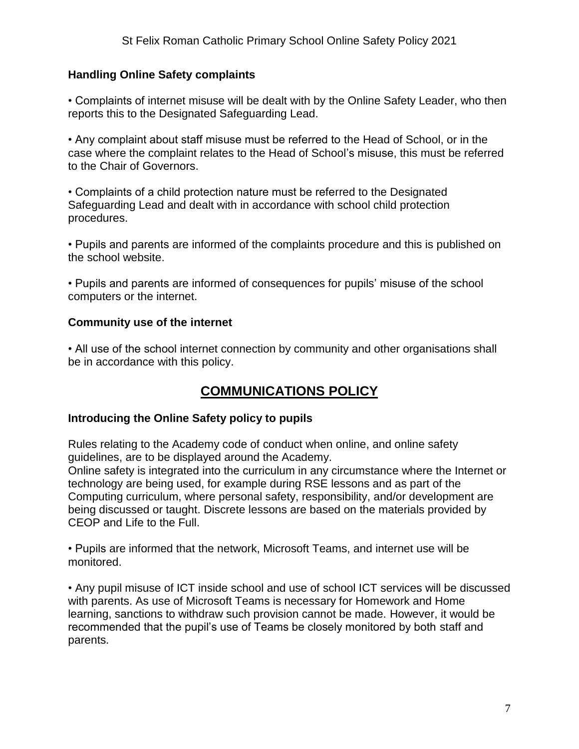#### **Handling Online Safety complaints**

• Complaints of internet misuse will be dealt with by the Online Safety Leader, who then reports this to the Designated Safeguarding Lead.

• Any complaint about staff misuse must be referred to the Head of School, or in the case where the complaint relates to the Head of School's misuse, this must be referred to the Chair of Governors.

• Complaints of a child protection nature must be referred to the Designated Safeguarding Lead and dealt with in accordance with school child protection procedures.

• Pupils and parents are informed of the complaints procedure and this is published on the school website.

• Pupils and parents are informed of consequences for pupils' misuse of the school computers or the internet.

#### **Community use of the internet**

• All use of the school internet connection by community and other organisations shall be in accordance with this policy.

## **COMMUNICATIONS POLICY**

#### **Introducing the Online Safety policy to pupils**

Rules relating to the Academy code of conduct when online, and online safety guidelines, are to be displayed around the Academy.

Online safety is integrated into the curriculum in any circumstance where the Internet or technology are being used, for example during RSE lessons and as part of the Computing curriculum, where personal safety, responsibility, and/or development are being discussed or taught. Discrete lessons are based on the materials provided by CEOP and Life to the Full.

• Pupils are informed that the network, Microsoft Teams, and internet use will be monitored.

• Any pupil misuse of ICT inside school and use of school ICT services will be discussed with parents. As use of Microsoft Teams is necessary for Homework and Home learning, sanctions to withdraw such provision cannot be made. However, it would be recommended that the pupil's use of Teams be closely monitored by both staff and parents.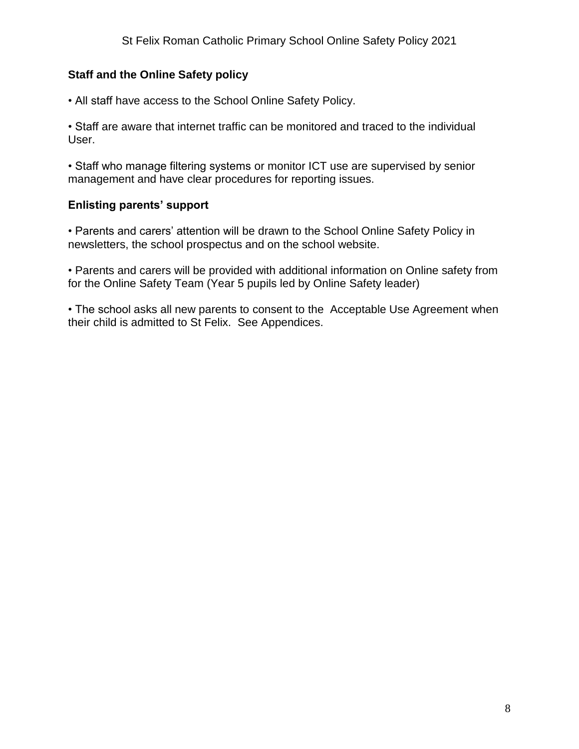### **Staff and the Online Safety policy**

• All staff have access to the School Online Safety Policy.

• Staff are aware that internet traffic can be monitored and traced to the individual User.

• Staff who manage filtering systems or monitor ICT use are supervised by senior management and have clear procedures for reporting issues.

### **Enlisting parents' support**

• Parents and carers' attention will be drawn to the School Online Safety Policy in newsletters, the school prospectus and on the school website.

• Parents and carers will be provided with additional information on Online safety from for the Online Safety Team (Year 5 pupils led by Online Safety leader)

• The school asks all new parents to consent to the Acceptable Use Agreement when their child is admitted to St Felix. See Appendices.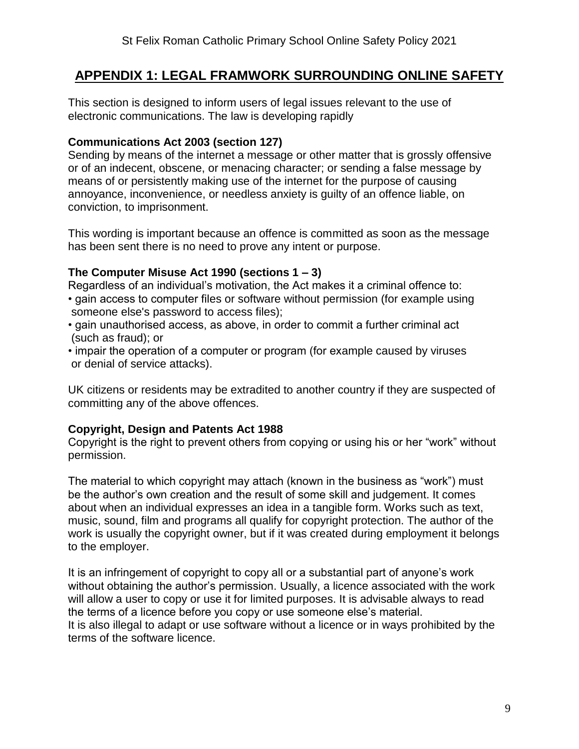## **APPENDIX 1: LEGAL FRAMWORK SURROUNDING ONLINE SAFETY**

This section is designed to inform users of legal issues relevant to the use of electronic communications. The law is developing rapidly

#### **Communications Act 2003 (section 127)**

Sending by means of the internet a message or other matter that is grossly offensive or of an indecent, obscene, or menacing character; or sending a false message by means of or persistently making use of the internet for the purpose of causing annoyance, inconvenience, or needless anxiety is guilty of an offence liable, on conviction, to imprisonment.

This wording is important because an offence is committed as soon as the message has been sent there is no need to prove any intent or purpose.

#### **The Computer Misuse Act 1990 (sections 1 – 3)**

Regardless of an individual's motivation, the Act makes it a criminal offence to:

- gain access to computer files or software without permission (for example using someone else's password to access files);
- gain unauthorised access, as above, in order to commit a further criminal act (such as fraud); or
- impair the operation of a computer or program (for example caused by viruses or denial of service attacks).

UK citizens or residents may be extradited to another country if they are suspected of committing any of the above offences.

#### **Copyright, Design and Patents Act 1988**

Copyright is the right to prevent others from copying or using his or her "work" without permission.

The material to which copyright may attach (known in the business as "work") must be the author's own creation and the result of some skill and judgement. It comes about when an individual expresses an idea in a tangible form. Works such as text, music, sound, film and programs all qualify for copyright protection. The author of the work is usually the copyright owner, but if it was created during employment it belongs to the employer.

It is an infringement of copyright to copy all or a substantial part of anyone's work without obtaining the author's permission. Usually, a licence associated with the work will allow a user to copy or use it for limited purposes. It is advisable always to read the terms of a licence before you copy or use someone else's material. It is also illegal to adapt or use software without a licence or in ways prohibited by the terms of the software licence.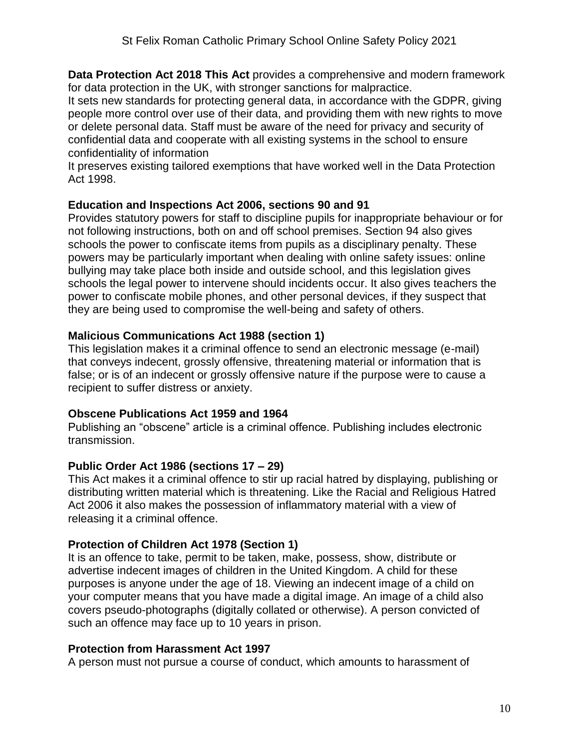**Data Protection Act 2018 This Act** provides a comprehensive and modern framework for data protection in the UK, with stronger sanctions for malpractice.

It sets new standards for protecting general data, in accordance with the GDPR, giving people more control over use of their data, and providing them with new rights to move or delete personal data. Staff must be aware of the need for privacy and security of confidential data and cooperate with all existing systems in the school to ensure confidentiality of information

It preserves existing tailored exemptions that have worked well in the Data Protection Act 1998.

#### **Education and Inspections Act 2006, sections 90 and 91**

Provides statutory powers for staff to discipline pupils for inappropriate behaviour or for not following instructions, both on and off school premises. Section 94 also gives schools the power to confiscate items from pupils as a disciplinary penalty. These powers may be particularly important when dealing with online safety issues: online bullying may take place both inside and outside school, and this legislation gives schools the legal power to intervene should incidents occur. It also gives teachers the power to confiscate mobile phones, and other personal devices, if they suspect that they are being used to compromise the well-being and safety of others.

#### **Malicious Communications Act 1988 (section 1)**

This legislation makes it a criminal offence to send an electronic message (e-mail) that conveys indecent, grossly offensive, threatening material or information that is false; or is of an indecent or grossly offensive nature if the purpose were to cause a recipient to suffer distress or anxiety.

#### **Obscene Publications Act 1959 and 1964**

Publishing an "obscene" article is a criminal offence. Publishing includes electronic transmission.

#### **Public Order Act 1986 (sections 17 – 29)**

This Act makes it a criminal offence to stir up racial hatred by displaying, publishing or distributing written material which is threatening. Like the Racial and Religious Hatred Act 2006 it also makes the possession of inflammatory material with a view of releasing it a criminal offence.

#### **Protection of Children Act 1978 (Section 1)**

It is an offence to take, permit to be taken, make, possess, show, distribute or advertise indecent images of children in the United Kingdom. A child for these purposes is anyone under the age of 18. Viewing an indecent image of a child on your computer means that you have made a digital image. An image of a child also covers pseudo-photographs (digitally collated or otherwise). A person convicted of such an offence may face up to 10 years in prison.

#### **Protection from Harassment Act 1997**

A person must not pursue a course of conduct, which amounts to harassment of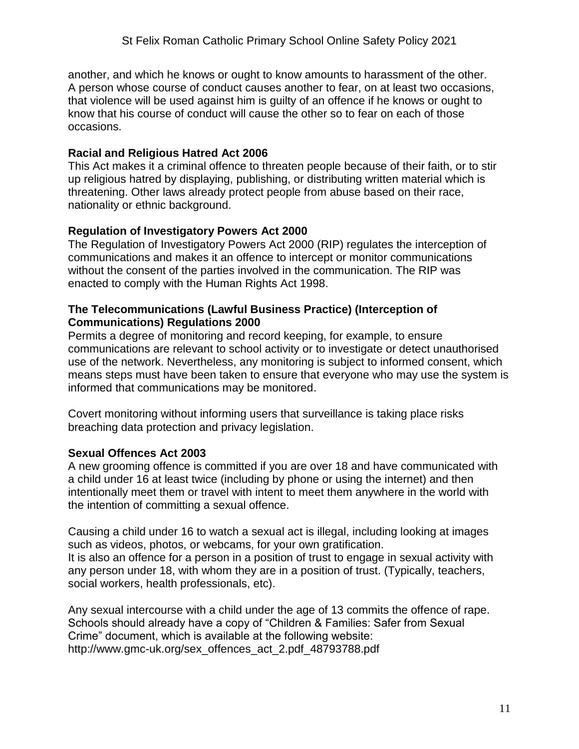another, and which he knows or ought to know amounts to harassment of the other. A person whose course of conduct causes another to fear, on at least two occasions, that violence will be used against him is guilty of an offence if he knows or ought to know that his course of conduct will cause the other so to fear on each of those occasions.

#### **Racial and Religious Hatred Act 2006**

This Act makes it a criminal offence to threaten people because of their faith, or to stir up religious hatred by displaying, publishing, or distributing written material which is threatening. Other laws already protect people from abuse based on their race, nationality or ethnic background.

#### **Regulation of Investigatory Powers Act 2000**

The Regulation of Investigatory Powers Act 2000 (RIP) regulates the interception of communications and makes it an offence to intercept or monitor communications without the consent of the parties involved in the communication. The RIP was enacted to comply with the Human Rights Act 1998.

#### **The Telecommunications (Lawful Business Practice) (Interception of Communications) Regulations 2000**

Permits a degree of monitoring and record keeping, for example, to ensure communications are relevant to school activity or to investigate or detect unauthorised use of the network. Nevertheless, any monitoring is subject to informed consent, which means steps must have been taken to ensure that everyone who may use the system is informed that communications may be monitored.

Covert monitoring without informing users that surveillance is taking place risks breaching data protection and privacy legislation.

#### **Sexual Offences Act 2003**

A new grooming offence is committed if you are over 18 and have communicated with a child under 16 at least twice (including by phone or using the internet) and then intentionally meet them or travel with intent to meet them anywhere in the world with the intention of committing a sexual offence.

Causing a child under 16 to watch a sexual act is illegal, including looking at images such as videos, photos, or webcams, for your own gratification. It is also an offence for a person in a position of trust to engage in sexual activity with any person under 18, with whom they are in a position of trust. (Typically, teachers, social workers, health professionals, etc).

Any sexual intercourse with a child under the age of 13 commits the offence of rape. Schools should already have a copy of "Children & Families: Safer from Sexual Crime" document, which is available at the following website: http://www.gmc-uk.org/sex\_offences\_act\_2.pdf\_48793788.pdf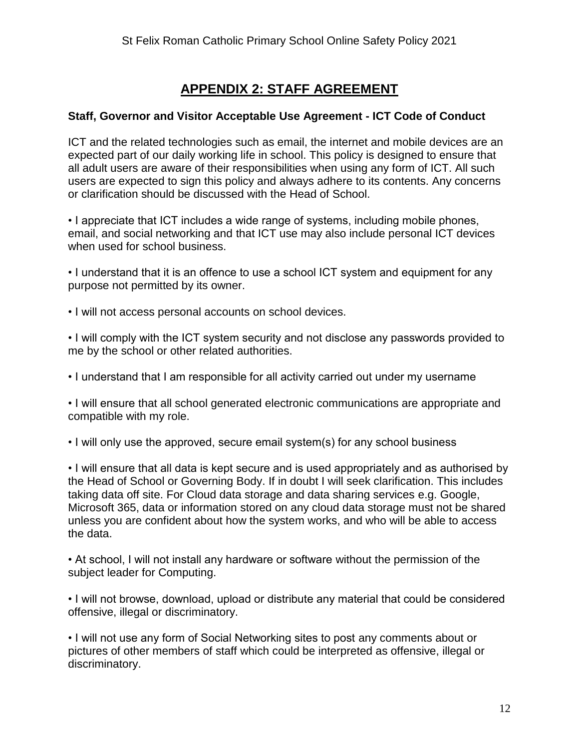## **APPENDIX 2: STAFF AGREEMENT**

#### **Staff, Governor and Visitor Acceptable Use Agreement - ICT Code of Conduct**

ICT and the related technologies such as email, the internet and mobile devices are an expected part of our daily working life in school. This policy is designed to ensure that all adult users are aware of their responsibilities when using any form of ICT. All such users are expected to sign this policy and always adhere to its contents. Any concerns or clarification should be discussed with the Head of School.

• I appreciate that ICT includes a wide range of systems, including mobile phones, email, and social networking and that ICT use may also include personal ICT devices when used for school business.

• I understand that it is an offence to use a school ICT system and equipment for any purpose not permitted by its owner.

• I will not access personal accounts on school devices.

• I will comply with the ICT system security and not disclose any passwords provided to me by the school or other related authorities.

• I understand that I am responsible for all activity carried out under my username

• I will ensure that all school generated electronic communications are appropriate and compatible with my role.

• I will only use the approved, secure email system(s) for any school business

• I will ensure that all data is kept secure and is used appropriately and as authorised by the Head of School or Governing Body. If in doubt I will seek clarification. This includes taking data off site. For Cloud data storage and data sharing services e.g. Google, Microsoft 365, data or information stored on any cloud data storage must not be shared unless you are confident about how the system works, and who will be able to access the data.

• At school, I will not install any hardware or software without the permission of the subject leader for Computing.

• I will not browse, download, upload or distribute any material that could be considered offensive, illegal or discriminatory.

• I will not use any form of Social Networking sites to post any comments about or pictures of other members of staff which could be interpreted as offensive, illegal or discriminatory.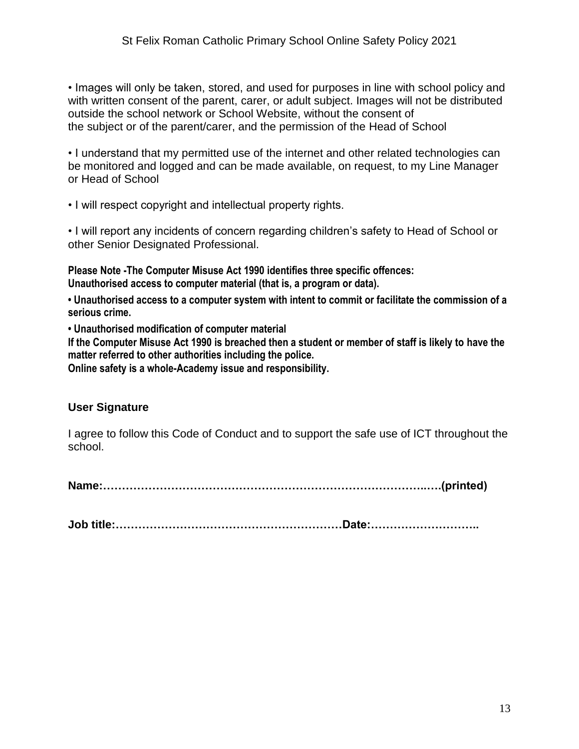• Images will only be taken, stored, and used for purposes in line with school policy and with written consent of the parent, carer, or adult subject. Images will not be distributed outside the school network or School Website, without the consent of the subject or of the parent/carer, and the permission of the Head of School

• I understand that my permitted use of the internet and other related technologies can be monitored and logged and can be made available, on request, to my Line Manager or Head of School

• I will respect copyright and intellectual property rights.

• I will report any incidents of concern regarding children's safety to Head of School or other Senior Designated Professional.

**Please Note -The Computer Misuse Act 1990 identifies three specific offences: Unauthorised access to computer material (that is, a program or data).** 

**• Unauthorised access to a computer system with intent to commit or facilitate the commission of a serious crime.** 

**• Unauthorised modification of computer material** 

**If the Computer Misuse Act 1990 is breached then a student or member of staff is likely to have the matter referred to other authorities including the police.** 

**Online safety is a whole-Academy issue and responsibility.**

#### **User Signature**

I agree to follow this Code of Conduct and to support the safe use of ICT throughout the school.

**Name:…………………………………………………………………………..….(printed)** 

**Job title:……………………………………………………Date:………………………..**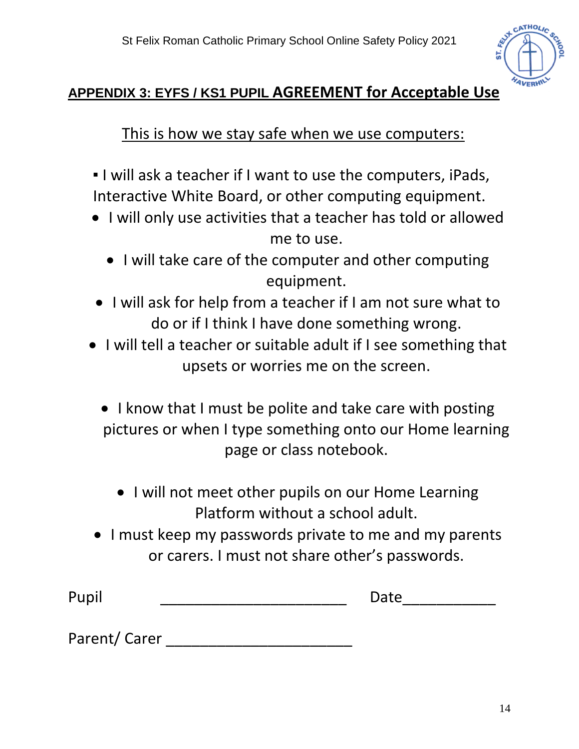

# **APPENDIX 3: EYFS / KS1 PUPIL AGREEMENT for Acceptable Use**

This is how we stay safe when we use computers:

- I will ask a teacher if I want to use the computers, iPads, Interactive White Board, or other computing equipment.
- I will only use activities that a teacher has told or allowed me to use.
	- I will take care of the computer and other computing equipment.
- I will ask for help from a teacher if I am not sure what to do or if I think I have done something wrong.
- I will tell a teacher or suitable adult if I see something that upsets or worries me on the screen.
	- I know that I must be polite and take care with posting pictures or when I type something onto our Home learning page or class notebook.
		- I will not meet other pupils on our Home Learning Platform without a school adult.
- I must keep my passwords private to me and my parents or carers. I must not share other's passwords.

Pupil \_\_\_\_\_\_\_\_\_\_\_\_\_\_\_\_\_\_\_\_\_\_ Date\_\_\_\_\_\_\_\_\_\_\_

Parent/ Carer \_\_\_\_\_\_\_\_\_\_\_\_\_\_\_\_\_\_\_\_\_\_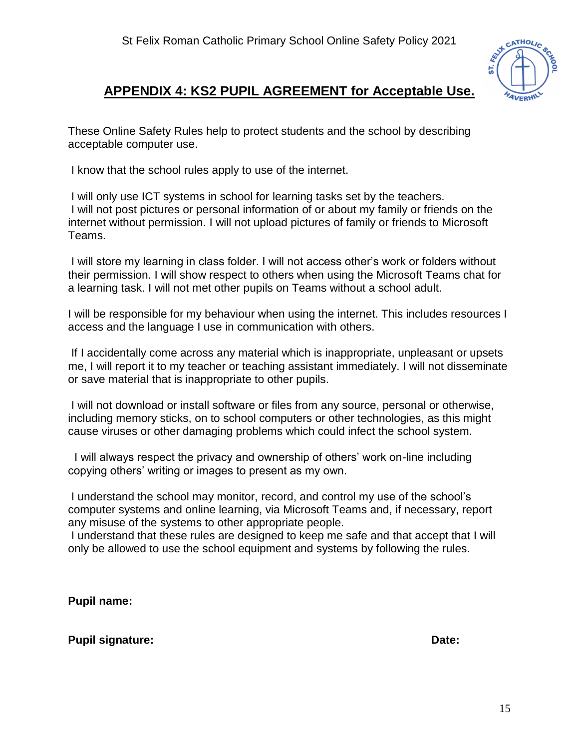

## **APPENDIX 4: KS2 PUPIL AGREEMENT for Acceptable Use.**

These Online Safety Rules help to protect students and the school by describing acceptable computer use.

I know that the school rules apply to use of the internet.

I will only use ICT systems in school for learning tasks set by the teachers. I will not post pictures or personal information of or about my family or friends on the internet without permission. I will not upload pictures of family or friends to Microsoft Teams.

I will store my learning in class folder. I will not access other's work or folders without their permission. I will show respect to others when using the Microsoft Teams chat for a learning task. I will not met other pupils on Teams without a school adult.

I will be responsible for my behaviour when using the internet. This includes resources I access and the language I use in communication with others.

If I accidentally come across any material which is inappropriate, unpleasant or upsets me, I will report it to my teacher or teaching assistant immediately. I will not disseminate or save material that is inappropriate to other pupils.

I will not download or install software or files from any source, personal or otherwise, including memory sticks, on to school computers or other technologies, as this might cause viruses or other damaging problems which could infect the school system.

 I will always respect the privacy and ownership of others' work on-line including copying others' writing or images to present as my own.

I understand the school may monitor, record, and control my use of the school's computer systems and online learning, via Microsoft Teams and, if necessary, report any misuse of the systems to other appropriate people.

I understand that these rules are designed to keep me safe and that accept that I will only be allowed to use the school equipment and systems by following the rules.

**Pupil name:**

**Pupil signature:** Date: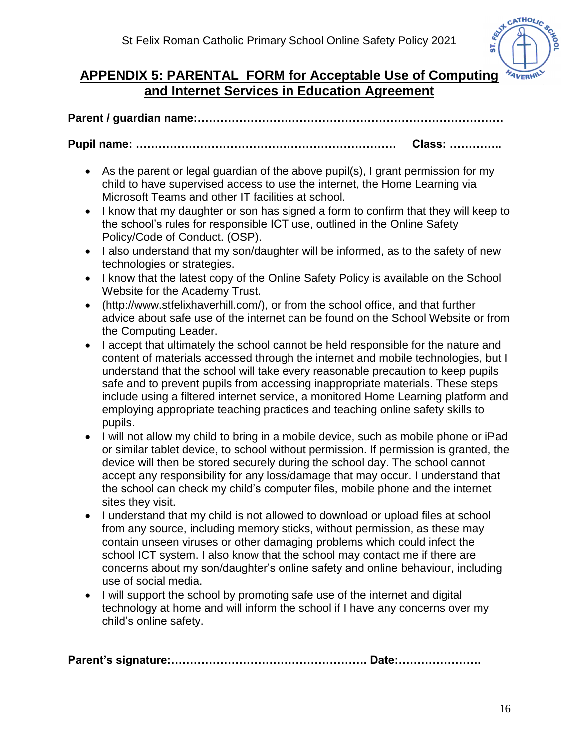

## **APPENDIX 5: PARENTAL FORM for Acceptable Use of Computing and Internet Services in Education Agreement**

**Parent / guardian name:………………………………………………………………………**

**Pupil name: …………………………………………………………… Class: …………..**

- As the parent or legal guardian of the above pupil(s), I grant permission for my child to have supervised access to use the internet, the Home Learning via Microsoft Teams and other IT facilities at school.
- I know that my daughter or son has signed a form to confirm that they will keep to the school's rules for responsible ICT use, outlined in the Online Safety Policy/Code of Conduct. (OSP).
- I also understand that my son/daughter will be informed, as to the safety of new technologies or strategies.
- I know that the latest copy of the Online Safety Policy is available on the School Website for the Academy Trust.
- (http://www.stfelixhaverhill.com/), or from the school office, and that further advice about safe use of the internet can be found on the School Website or from the Computing Leader.
- I accept that ultimately the school cannot be held responsible for the nature and content of materials accessed through the internet and mobile technologies, but I understand that the school will take every reasonable precaution to keep pupils safe and to prevent pupils from accessing inappropriate materials. These steps include using a filtered internet service, a monitored Home Learning platform and employing appropriate teaching practices and teaching online safety skills to pupils.
- I will not allow my child to bring in a mobile device, such as mobile phone or iPad or similar tablet device, to school without permission. If permission is granted, the device will then be stored securely during the school day. The school cannot accept any responsibility for any loss/damage that may occur. I understand that the school can check my child's computer files, mobile phone and the internet sites they visit.
- I understand that my child is not allowed to download or upload files at school from any source, including memory sticks, without permission, as these may contain unseen viruses or other damaging problems which could infect the school ICT system. I also know that the school may contact me if there are concerns about my son/daughter's online safety and online behaviour, including use of social media.
- I will support the school by promoting safe use of the internet and digital technology at home and will inform the school if I have any concerns over my child's online safety.

**Parent's signature:……………………………………………. Date:………………….**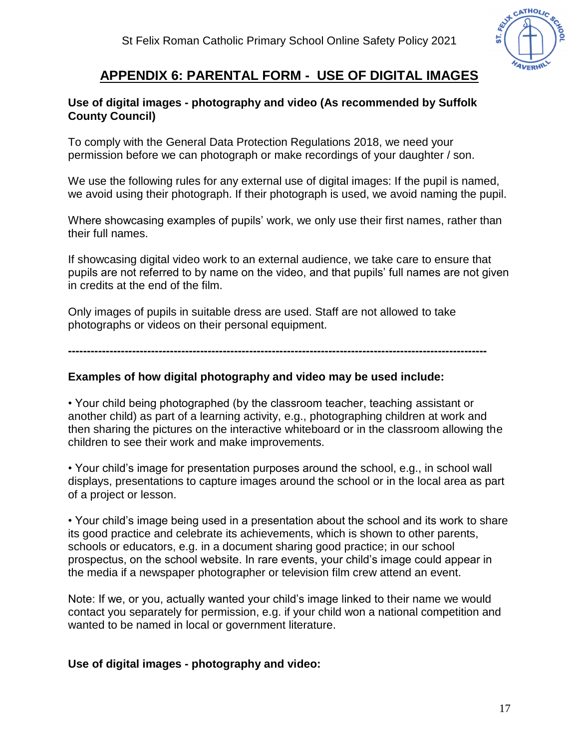

## **APPENDIX 6: PARENTAL FORM - USE OF DIGITAL IMAGES**

#### **Use of digital images - photography and video (As recommended by Suffolk County Council)**

To comply with the General Data Protection Regulations 2018, we need your permission before we can photograph or make recordings of your daughter / son.

We use the following rules for any external use of digital images: If the pupil is named, we avoid using their photograph. If their photograph is used, we avoid naming the pupil.

Where showcasing examples of pupils' work, we only use their first names, rather than their full names.

If showcasing digital video work to an external audience, we take care to ensure that pupils are not referred to by name on the video, and that pupils' full names are not given in credits at the end of the film.

Only images of pupils in suitable dress are used. Staff are not allowed to take photographs or videos on their personal equipment.

**---------------------------------------------------------------------------------------------------------------**

#### **Examples of how digital photography and video may be used include:**

• Your child being photographed (by the classroom teacher, teaching assistant or another child) as part of a learning activity, e.g., photographing children at work and then sharing the pictures on the interactive whiteboard or in the classroom allowing the children to see their work and make improvements.

• Your child's image for presentation purposes around the school, e.g., in school wall displays, presentations to capture images around the school or in the local area as part of a project or lesson.

• Your child's image being used in a presentation about the school and its work to share its good practice and celebrate its achievements, which is shown to other parents, schools or educators, e.g. in a document sharing good practice; in our school prospectus, on the school website. In rare events, your child's image could appear in the media if a newspaper photographer or television film crew attend an event.

Note: If we, or you, actually wanted your child's image linked to their name we would contact you separately for permission, e.g. if your child won a national competition and wanted to be named in local or government literature.

#### **Use of digital images - photography and video:**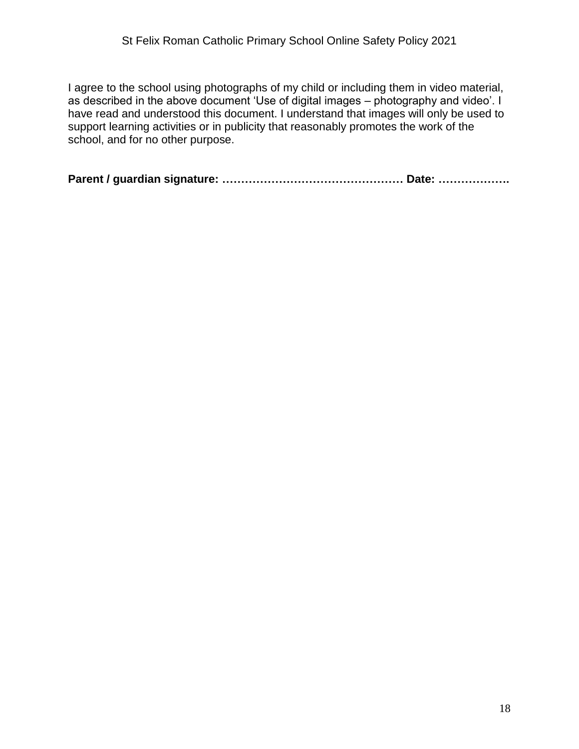I agree to the school using photographs of my child or including them in video material, as described in the above document 'Use of digital images – photography and video'. I have read and understood this document. I understand that images will only be used to support learning activities or in publicity that reasonably promotes the work of the school, and for no other purpose.